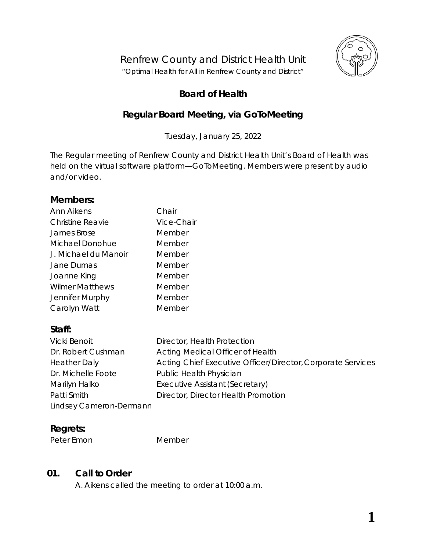

## **Board of Health**

# **Regular Board Meeting, via** *GoToMeeting*

Tuesday, January 25, 2022

The Regular meeting of Renfrew County and District Health Unit's Board of Health was held on the virtual software platform—*GoToMeeting*. Members were present by audio and/or video.

#### **Members:**

| Ann Aikens              | Chair      |
|-------------------------|------------|
| <b>Christine Reavie</b> | Vice-Chair |
| James Brose             | Member     |
| Michael Donohue         | Member     |
| J. Michael du Manoir    | Member     |
| Jane Dumas              | Member     |
| Joanne King             | Member     |
| <b>Wilmer Matthews</b>  | Member     |
| Jennifer Murphy         | Member     |
| Carolyn Watt            | Member     |
|                         |            |

# **Staff:**

| <b>Vicki Benoit</b>     | Director, Health Protection                                 |
|-------------------------|-------------------------------------------------------------|
| Dr. Robert Cushman      | Acting Medical Officer of Health                            |
| <b>Heather Daly</b>     | Acting Chief Executive Officer/Director, Corporate Services |
| Dr. Michelle Foote      | Public Health Physician                                     |
| Marilyn Halko           | Executive Assistant (Secretary)                             |
| Patti Smith             | Director, Director Health Promotion                         |
| Lindsey Cameron-Dermann |                                                             |

## **Regrets:**

Peter Emon Member

# **01. Call to Order**

A. Aikens called the meeting to order at 10:00 a.m.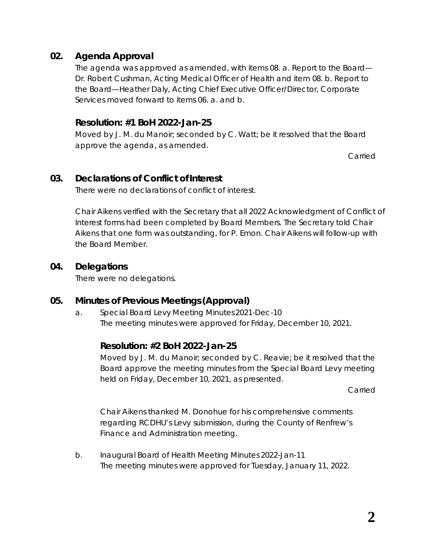## **02. Agenda Approval**

The agenda was approved as amended, with items 08. a. *Report to the Board— Dr. Robert Cushman, Acting Medical Officer of Health* and item 08. b. *Report to the Board—Heather Daly, Acting Chief Executive Officer/Director, Corporate Services* moved forward to items 06. a. and b.

#### **Resolution: #1 BoH 2022-Jan-25**

Moved by J. M. du Manoir; seconded by C. Watt; be it resolved that the Board approve the agenda, as amended.

Carried

#### **03. Declarations of Conflict of Interest**

There were no declarations of conflict of interest.

Chair Aikens verified with the Secretary that all *2022 Acknowledgment of Conflict of Interest* forms had been completed by Board Members. The Secretary told Chair Aikens that one form was outstanding, for P. Emon. Chair Aikens will follow-up with the Board Member.

#### **04. Delegations**

There were no delegations.

## **05. Minutes of Previous Meetings (Approval)**

a. Special Board Levy Meeting Minutes 2021-Dec-10 The meeting minutes were approved for Friday, December 10, 2021.

## **Resolution: #2 BoH 2022-Jan-25**

Moved by J. M. du Manoir; seconded by C. Reavie; be it resolved that the Board approve the meeting minutes from the Special Board Levy meeting held on Friday, December 10, 2021, as presented.

Carried

Chair Aikens thanked M. Donohue for his comprehensive comments regarding RCDHU's Levy submission, during the County of Renfrew's Finance and Administration meeting.

b. Inaugural Board of Health Meeting Minutes 2022-Jan-11 The meeting minutes were approved for Tuesday, January 11, 2022.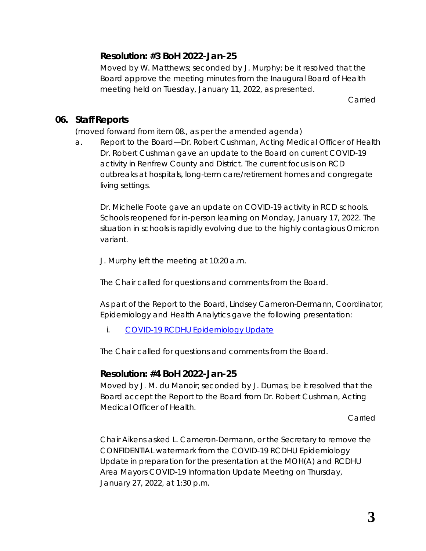## **Resolution: #3 BoH 2022-Jan-25**

Moved by W. Matthews; seconded by J. Murphy; be it resolved that the Board approve the meeting minutes from the Inaugural Board of Health meeting held on Tuesday, January 11, 2022, as presented.

Carried

#### **06. Staff Reports**

(moved forward from item 08., as per the amended agenda)

a. Report to the Board—Dr. Robert Cushman, Acting Medical Officer of Health Dr. Robert Cushman gave an update to the Board on current COVID-19 activity in Renfrew County and District. The current focus is on RCD outbreaks at hospitals, long-term care/retirement homes and congregate living settings.

Dr. Michelle Foote gave an update on COVID-19 activity in RCD schools. Schools reopened for in-person learning on Monday, January 17, 2022. The situation in schools is rapidly evolving due to the highly contagious Omicron variant.

J. Murphy left the meeting at 10:20 a.m.

The Chair called for questions and comments from the Board.

As part of the Report to the Board, Lindsey Cameron-Dermann, Coordinator, Epidemiology and Health Analytics gave the following presentation:

*i. [COVID-19 RCDHU Epidemiology](https://www.rcdhu.com/wp-content/uploads/2022/01/08.-a.-i.-COVID-19-RCDHU-Epidemiology-Update-2022-01-25.pdf) Update*

The Chair called for questions and comments from the Board.

## **Resolution: #4 BoH 2022-Jan-25**

Moved by J. M. du Manoir; seconded by J. Dumas; be it resolved that the Board accept the Report to the Board from Dr. Robert Cushman, Acting Medical Officer of Health.

Carried

Chair Aikens asked L. Cameron-Dermann, or the Secretary to remove the CONFIDENTIAL watermark from the *COVID-19 RCDHU Epidemiology Update* in preparation for the presentation at the MOH(A) and RCDHU Area Mayors COVID-19 Information Update Meeting on Thursday, January 27, 2022, at 1:30 p.m.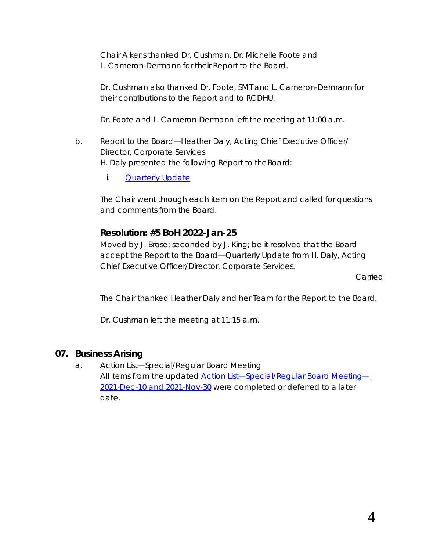Chair Aikens thanked Dr. Cushman, Dr. Michelle Foote and L. Cameron-Dermann for their *Report to the Board*.

Dr. Cushman also thanked Dr. Foote, SMT and L. Cameron-Dermann for their contributions to the *Report* and to RCDHU.

Dr. Foote and L. Cameron-Dermann left the meeting at 11:00 a.m.

- b. Report to the Board—Heather Daly, Acting Chief Executive Officer/ Director, Corporate Services H. Daly presented the following *Report to theBoard*:
	- *i. [Quarterly](https://www.rcdhu.com/wp-content/uploads/2022/02/08.-b.-Report-to-the-Board-CEOADCS-Quarterly-Update-January-2022.pdf) Update*

The Chair went through each item on the *Report* and called for questions and comments from the Board.

## **Resolution: #5 BoH 2022-Jan-25**

Moved by J. Brose; seconded by J. King; be it resolved that the Board accept the *Report to the Board—Quarterly Update* from H. Daly, Acting Chief Executive Officer/Director, Corporate Services.

Carried

The Chair thanked Heather Daly and her Team for the *Report to the Board*.

Dr. Cushman left the meeting at 11:15 a.m.

## **07. Business Arising**

a. Action List—Special/Regular Board Meeting All items from the updated *[Action List—Special/Regular Board Meeting](https://www.rcdhu.com/wp-content/uploads/2022/02/06.-a.-Action-List-Special-Regular-Board-Meeting-2021-Dec-10-and-2021-Nov-30.pdf)*— *[2021-Dec-10 and 2021-Nov-30](https://www.rcdhu.com/wp-content/uploads/2022/02/06.-a.-Action-List-Special-Regular-Board-Meeting-2021-Dec-10-and-2021-Nov-30.pdf)* were completed or deferred to a later date.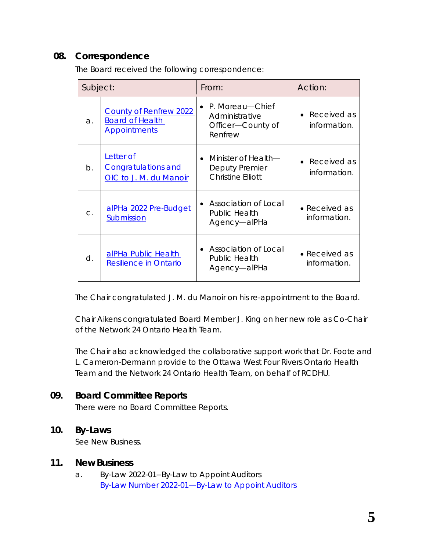## **08. Correspondence**

| Subject:       |                                                                                | From:                                                                     | Action:                               |
|----------------|--------------------------------------------------------------------------------|---------------------------------------------------------------------------|---------------------------------------|
| a.             | <b>County of Renfrew 2022</b><br><b>Board of Health</b><br><b>Appointments</b> | P. Moreau—Chief<br>Administrative<br>Officer-County of<br>Renfrew         | Received as<br>information.           |
| $b$ .          | Letter of<br><b>Congratulations and</b><br>OIC to J. M. du Manoir              | Minister of Health—<br>Deputy Premier<br><b>Christine Elliott</b>         | Received as<br>information.           |
| $\mathsf{C}$ . | alPHa 2022 Pre-Budget<br>Submission                                            | Association of Local<br>$\bullet$<br><b>Public Health</b><br>Agency-alPHa | $\bullet$ Received as<br>information. |
| $\mathsf{d}$ . | alPHa Public Health<br>Resilience in Ontario                                   | Association of Local<br>Public Health<br>Agency-alPHa                     | • Received as<br>information.         |

The Board received the following correspondence:

The Chair congratulated J. M. du Manoir on his re-appointment to the Board.

Chair Aikens congratulated Board Member J. King on her new role as Co-Chair of the Network 24 Ontario Health Team.

The Chair also acknowledged the collaborative support work that Dr. Foote and L. Cameron-Dermann provide to the Ottawa West Four Rivers Ontario Health Team and the Network 24 Ontario Health Team, on behalf of RCDHU.

## **09. Board Committee Reports**

There were no Board Committee Reports.

#### **10. By-Laws**

See New Business.

#### **11. New Business**

a. By-Law 2022-01--By-Law to Appoint Auditors *[By-Law Number 2022-01—By-Law to Appoint Auditors](https://www.rcdhu.com/wp-content/uploads/2022/02/11.-a.-By-Law-Number-2022-01-By-Law-to-Appoint-Auditors-2022-Jan-25.pdf)*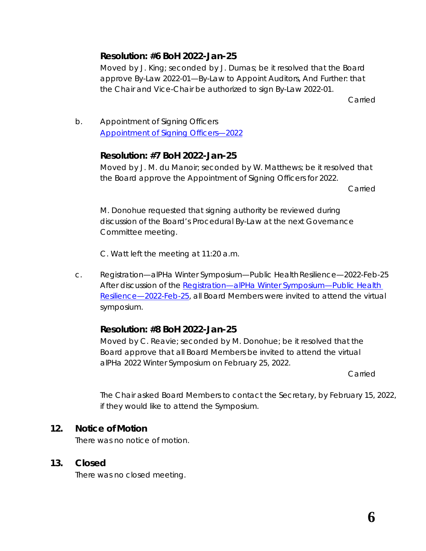## **Resolution: #6 BoH 2022-Jan-25**

Moved by J. King; seconded by J. Dumas; be it resolved that the Board approve By-Law 2022-01—By-Law to Appoint Auditors, And Further: that the Chair and Vice-Chair be authorized to sign By-Law 2022-01.

Carried

b. Appointment of Signing Officers *[Appointment of Signing Officers—2022](https://www.rcdhu.com/wp-content/uploads/2022/02/11.-b.-Appointment-of-Signing-Officers-2022.pdf)*

## **Resolution: #7 BoH 2022-Jan-25**

Moved by J. M. du Manoir; seconded by W. Matthews; be it resolved that the Board approve the Appointment of Signing Officers for 2022.

Carried

M. Donohue requested that signing authority be reviewed during discussion of the Board's Procedural By-Law at the next Governance Committee meeting.

C. Watt left the meeting at 11:20 a.m.

c. Registration—alPHa Winter Symposium—Public HealthResilience—2022-Feb-25 After discussion of the *[Registration—alPHa Winter Symposium—Public Health](https://www.rcdhu.com/wp-content/uploads/2022/02/11.-c.-Program-and-Registration-alPHa-Winter-Symposium-Public-Health-Resilience-2022-Feb-25.pdf)  [Resilience—2022-Feb-25](https://www.rcdhu.com/wp-content/uploads/2022/02/11.-c.-Program-and-Registration-alPHa-Winter-Symposium-Public-Health-Resilience-2022-Feb-25.pdf)*, all Board Members were invited to attend the virtual symposium.

## **Resolution: #8 BoH 2022-Jan-25**

Moved by C. Reavie; seconded by M. Donohue; be it resolved that the Board approve that all Board Members be invited to attend the virtual alPHa 2022 Winter Symposium on February 25, 2022.

Carried

The Chair asked Board Members to contact the Secretary, by February 15, 2022, if they would like to attend the *Symposium*.

## **12. Notice of Motion**

There was no notice of motion.

## **13. Closed**

There was no closed meeting.